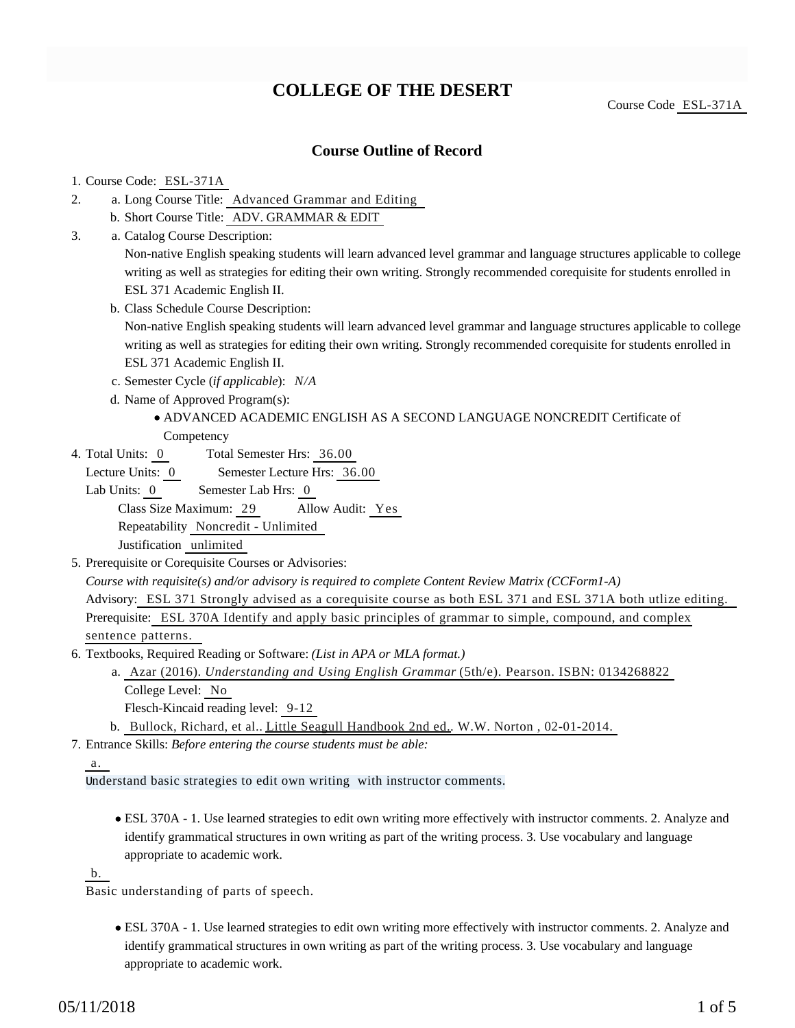# **COLLEGE OF THE DESERT**

Course Code ESL-371A

## **Course Outline of Record**

#### 1. Course Code: ESL-371A

- a. Long Course Title: Advanced Grammar and Editing 2.
	- b. Short Course Title: ADV. GRAMMAR & EDIT
- Catalog Course Description: a. 3.

Non-native English speaking students will learn advanced level grammar and language structures applicable to college writing as well as strategies for editing their own writing. Strongly recommended corequisite for students enrolled in ESL 371 Academic English II.

b. Class Schedule Course Description:

Non-native English speaking students will learn advanced level grammar and language structures applicable to college writing as well as strategies for editing their own writing. Strongly recommended corequisite for students enrolled in ESL 371 Academic English II.

- c. Semester Cycle (*if applicable*): *N/A*
- d. Name of Approved Program(s):

### ADVANCED ACADEMIC ENGLISH AS A SECOND LANGUAGE NONCREDIT Certificate of **Competency**

- 
- Total Semester Hrs: 36.00 4. Total Units: 0

Lecture Units: 0 Semester Lecture Hrs: 36.00

- Lab Units: 0 Semester Lab Hrs: 0 Class Size Maximum: 29 Allow Audit: Yes Repeatability Noncredit - Unlimited Justification unlimited
- 5. Prerequisite or Corequisite Courses or Advisories:

*Course with requisite(s) and/or advisory is required to complete Content Review Matrix (CCForm1-A)* Advisory: ESL 371 Strongly advised as a corequisite course as both ESL 371 and ESL 371A both utlize editing.

Prerequisite: ESL 370A Identify and apply basic principles of grammar to simple, compound, and complex sentence patterns.

- 6. Textbooks, Required Reading or Software: (List in APA or MLA format.)
	- Azar (2016). *Understanding and Using English Grammar* (5th/e). Pearson. ISBN: 0134268822 a. College Level: No
		- Flesch-Kincaid reading level: 9-12

b. Bullock, Richard, et al.. Little Seagull Handbook 2nd ed., W.W. Norton, 02-01-2014.

Entrance Skills: *Before entering the course students must be able:* 7.

Understand basic strategies to edit own writing with instructor comments.

ESL 370A - 1. Use learned strategies to edit own writing more effectively with instructor comments. 2. Analyze and identify grammatical structures in own writing as part of the writing process. 3. Use vocabulary and language appropriate to academic work.

b.

Basic understanding of parts of speech.

ESL 370A - 1. Use learned strategies to edit own writing more effectively with instructor comments. 2. Analyze and identify grammatical structures in own writing as part of the writing process. 3. Use vocabulary and language appropriate to academic work.

a.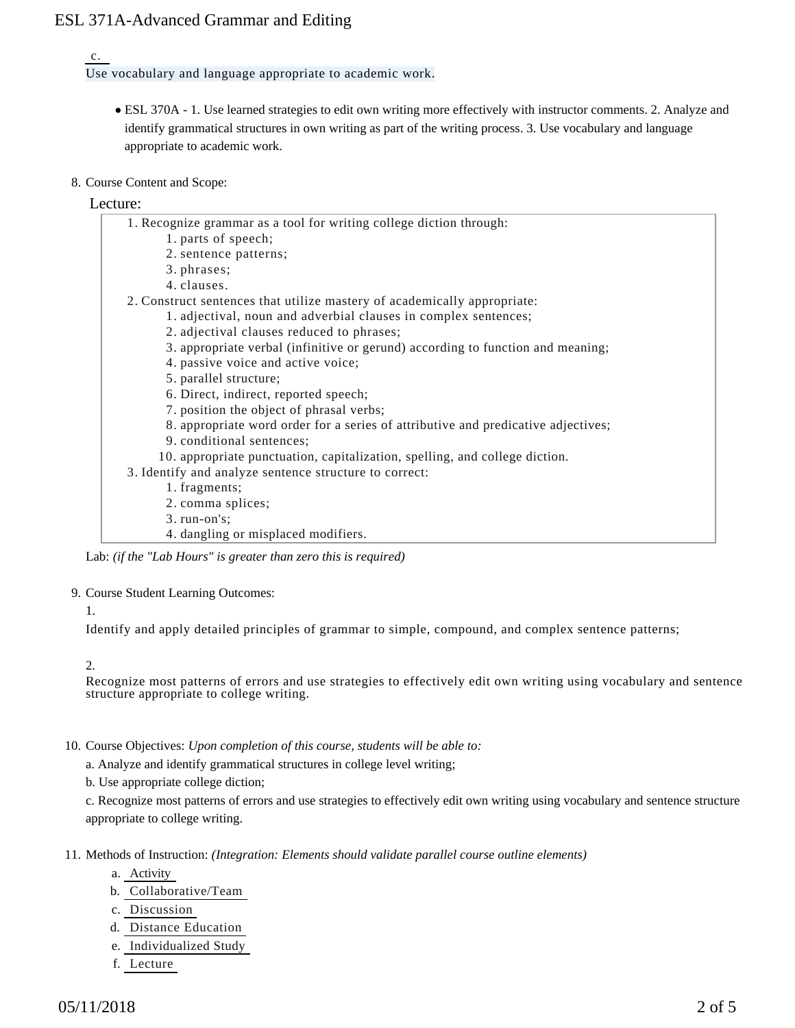## ESL 371A-Advanced Grammar and Editing

#### c.

Use vocabulary and language appropriate to academic work.

- ESL 370A 1. Use learned strategies to edit own writing more effectively with instructor comments. 2. Analyze and identify grammatical structures in own writing as part of the writing process. 3. Use vocabulary and language appropriate to academic work.
- 8. Course Content and Scope:

## Lecture:

| 1. Recognize grammar as a tool for writing college diction through:               |
|-----------------------------------------------------------------------------------|
| 1. parts of speech;                                                               |
| 2. sentence patterns;                                                             |
| 3. phrases;                                                                       |
| 4. clauses.                                                                       |
| 2. Construct sentences that utilize mastery of academically appropriate:          |
| 1. adjectival, noun and adverbial clauses in complex sentences;                   |
| 2. adjectival clauses reduced to phrases;                                         |
| 3. appropriate verbal (infinitive or gerund) according to function and meaning;   |
| 4. passive voice and active voice;                                                |
| 5. parallel structure;                                                            |
| 6. Direct, indirect, reported speech;                                             |
| 7. position the object of phrasal verbs;                                          |
| 8. appropriate word order for a series of attributive and predicative adjectives; |
| 9. conditional sentences;                                                         |
| 10. appropriate punctuation, capitalization, spelling, and college diction.       |
| 3. Identify and analyze sentence structure to correct:                            |
| 1. fragments;                                                                     |
| 2. comma splices;                                                                 |
| $3. run-on's;$                                                                    |
| 4. dangling or misplaced modifiers.                                               |

Lab: *(if the "Lab Hours" is greater than zero this is required)*

#### 9. Course Student Learning Outcomes:

#### 1.

Identify and apply detailed principles of grammar to simple, compound, and complex sentence patterns;

#### 2.

Recognize most patterns of errors and use strategies to effectively edit own writing using vocabulary and sentence structure appropriate to college writing.

- 10. Course Objectives: Upon completion of this course, students will be able to:
	- a. Analyze and identify grammatical structures in college level writing;
	- b. Use appropriate college diction;

c. Recognize most patterns of errors and use strategies to effectively edit own writing using vocabulary and sentence structure appropriate to college writing.

- 11. Methods of Instruction: *(Integration: Elements should validate parallel course outline elements)* 
	- a. Activity
	- b. Collaborative/Team
	- c. Discussion
	- d. Distance Education
	- e. Individualized Study
	- f. Lecture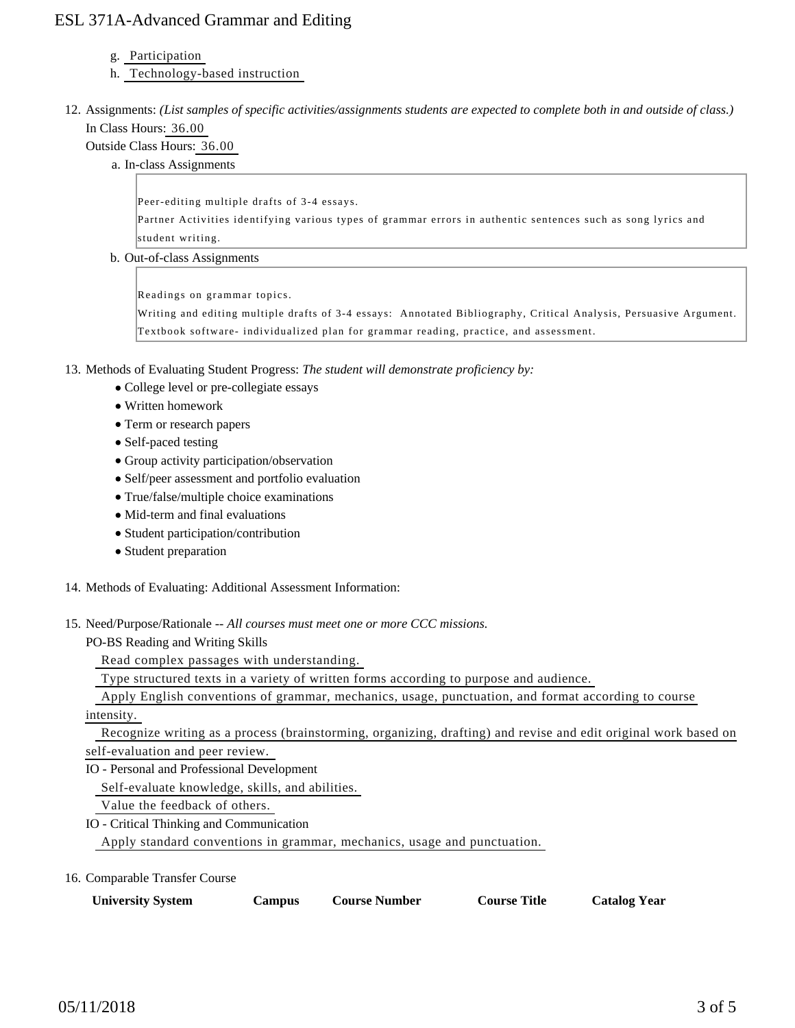## ESL 371A-Advanced Grammar and Editing

#### g. Participation

- h. Technology-based instruction
- 12. Assignments: (List samples of specific activities/assignments students are expected to complete both in and outside of class.) In Class Hours: 36.00

### Outside Class Hours: 36.00

a. In-class Assignments

Peer-editing multiple drafts of 3-4 essays.

Partner Activities identifying various types of grammar errors in authentic sentences such as song lyrics and student writing.

b. Out-of-class Assignments

Readings on grammar topics.

Writing and editing multiple drafts of 3-4 essays: Annotated Bibliography, Critical Analysis, Persuasive Argument. Textbook software- individualized plan for grammar reading, practice, and assessment.

13. Methods of Evaluating Student Progress: The student will demonstrate proficiency by:

- College level or pre-collegiate essays
- Written homework
- Term or research papers
- Self-paced testing
- Group activity participation/observation
- Self/peer assessment and portfolio evaluation
- True/false/multiple choice examinations
- Mid-term and final evaluations
- Student participation/contribution
- Student preparation
- 14. Methods of Evaluating: Additional Assessment Information:
- 15. Need/Purpose/Rationale -- All courses must meet one or more CCC missions.

PO-BS Reading and Writing Skills

Read complex passages with understanding.

Type structured texts in a variety of written forms according to purpose and audience.

 Apply English conventions of grammar, mechanics, usage, punctuation, and format according to course intensity.

 Recognize writing as a process (brainstorming, organizing, drafting) and revise and edit original work based on self-evaluation and peer review.

IO - Personal and Professional Development

Self-evaluate knowledge, skills, and abilities.

Value the feedback of others.

IO - Critical Thinking and Communication Apply standard conventions in grammar, mechanics, usage and punctuation.

16. Comparable Transfer Course

| <b>University System</b> | Campus | <b>Course Number</b> | <b>Course Title</b> | <b>Catalog Year</b> |
|--------------------------|--------|----------------------|---------------------|---------------------|
|--------------------------|--------|----------------------|---------------------|---------------------|